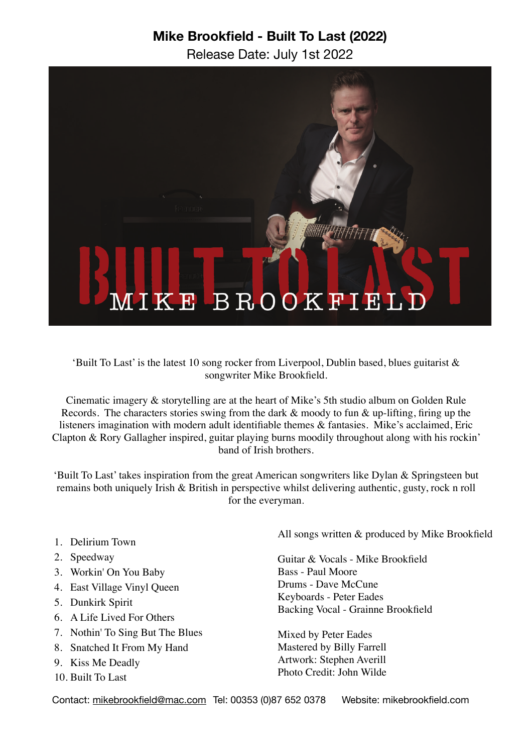# **Mike Brookfield - Built To Last (2022)**

Release Date: July 1st 2022



'Built To Last' is the latest 10 song rocker from Liverpool, Dublin based, blues guitarist & songwriter Mike Brookfield.

Cinematic imagery & storytelling are at the heart of Mike's 5th studio album on Golden Rule Records. The characters stories swing from the dark  $\&$  moody to fun  $\&$  up-lifting, firing up the listeners imagination with modern adult identifiable themes & fantasies. Mike's acclaimed, Eric Clapton & Rory Gallagher inspired, guitar playing burns moodily throughout along with his rockin' band of Irish brothers.

'Built To Last' takes inspiration from the great American songwriters like Dylan & Springsteen but remains both uniquely Irish & British in perspective whilst delivering authentic, gusty, rock n roll for the everyman.

- 1. Delirium Town
- 2. Speedway
- 3. Workin' On You Baby
- 4. East Village Vinyl Queen
- 5. Dunkirk Spirit
- 6. A Life Lived For Others
- 7. Nothin' To Sing But The Blues
- 8. Snatched It From My Hand
- 9. Kiss Me Deadly
- 10. Built To Last

All songs written & produced by Mike Brookfield

Guitar & Vocals - Mike Brookfield Bass - Paul Moore Drums - Dave McCune Keyboards - Peter Eades Backing Vocal - Grainne Brookfield

Mixed by Peter Eades Mastered by Billy Farrell Artwork: Stephen Averill Photo Credit: John Wilde

Contact: [mikebrookfield@mac.com](mailto:mikebrookfield@mac.com) Tel: 00353 (0)87 652 0378 Website: mikebrookfield.com